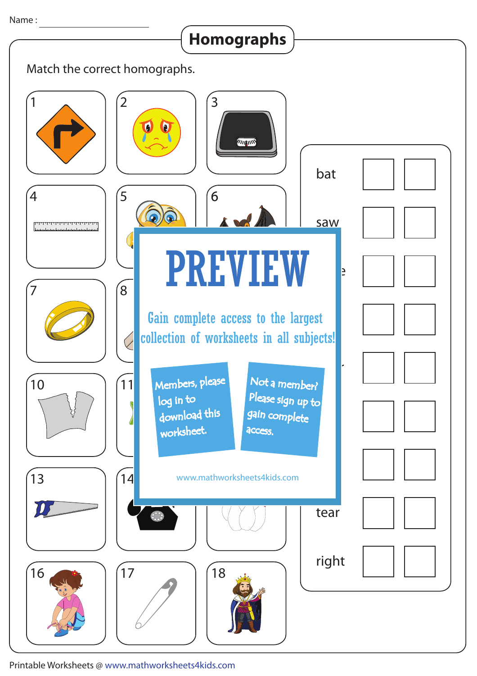**Homographs**

 $\mathcal{L}$ 

| <b>Holliograpiis</b>                                                                                                                      |
|-------------------------------------------------------------------------------------------------------------------------------------------|
| Match the correct homographs.                                                                                                             |
| $\overline{2}$<br>3<br><b>THEFIND</b><br>bat                                                                                              |
| 5<br>6<br>4<br>saw                                                                                                                        |
| <b>PREVIEW</b><br>E<br>$\overline{8}$                                                                                                     |
| Gain complete access to the largest<br>collection of worksheets in all subjects!                                                          |
| Members, please<br>Not a member?<br>10<br>11<br>Please sign up to<br>log in to<br>download this<br>gain complete<br>worksheet.<br>access. |
| 14<br>13<br>www.mathworksheets4kids.com                                                                                                   |
| tear<br>$\ddot{\textbf{e}}_{\textbf{e}}$                                                                                                  |
| right<br>17<br>16<br>18                                                                                                                   |